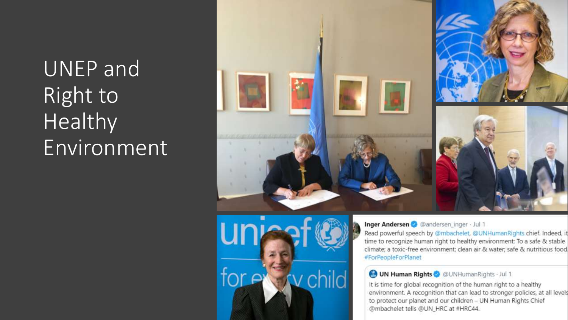## UNEP and Right to Healthy Environment





Inger Andersen @ @andersen\_inger · Jul 1

Read powerful speech by @mbachelet, @UNHumanRights chief. Indeed, it time to recognize human right to healthy environment: To a safe & stable climate; a toxic-free environment; clean air & water; safe & nutritious food #ForPeopleForPlanet

## **OUN Human Rights @ @UNHumanRights Jul 1**

It is time for global recognition of the human right to a healthy environment. A recognition that can lead to stronger policies, at all levels to protect our planet and our children - UN Human Rights Chief @mbachelet tells @UN\_HRC at #HRC44.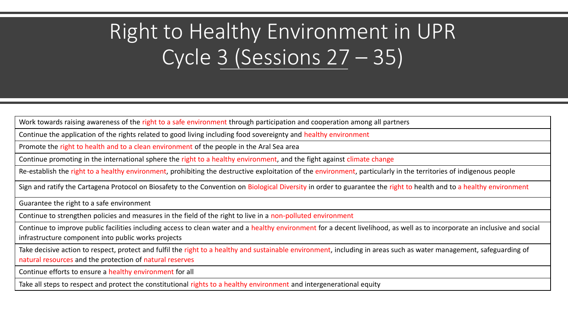## Right to Healthy Environment in UPR Cycle 3 (Sessions 27 – 35)

Work towards raising awareness of the right to a safe environment through participation and cooperation among all partners

Continue the application of the rights related to good living including food sovereignty and healthy environment

Promote the right to health and to a clean environment of the people in the Aral Sea area

Continue promoting in the international sphere the right to a healthy environment, and the fight against climate change

Re-establish the right to a healthy environment, prohibiting the destructive exploitation of the environment, particularly in the territories of indigenous people

Sign and ratify the Cartagena Protocol on Biosafety to the Convention on Biological Diversity in order to guarantee the right to health and to a healthy environment

Guarantee the right to a safe environment

Continue to strengthen policies and measures in the field of the right to live in a non-polluted environment

Continue to improve public facilities including access to clean water and a healthy environment for a decent livelihood, as well as to incorporate an inclusive and social infrastructure component into public works projects

Take decisive action to respect, protect and fulfil the right to a healthy and sustainable environment, including in areas such as water management, safeguarding of natural resources and the protection of natural reserves

Continue efforts to ensure a healthy environment for all

Take all steps to respect and protect the constitutional rights to a healthy environment and intergenerational equity